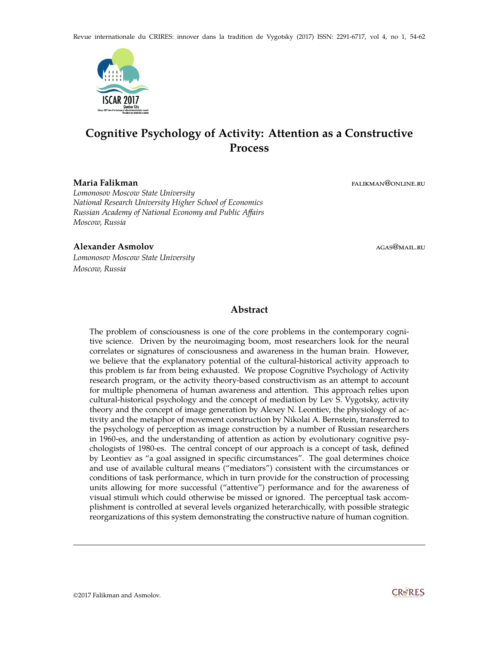Revue internationale du CRIRES: innover dans la tradition de Vygotsky (2017) ISSN: 2291-6717, vol 4, no 1, 54-62



## **Cognitive Psychology of Activity: Attention as a Constructive Process**

## **Maria Falikman** falikman@online.ru

*Lomonosov Moscow State University National Research University Higher School of Economics Russian Academy of National Economy and Public Affairs Moscow, Russia*

**Alexander Asmolov** and a structure and a structure and a structure against the structure against the structure of  $\alpha$ 

*Lomonosov Moscow State University Moscow, Russia*

## **Abstract**

The problem of consciousness is one of the core problems in the contemporary cognitive science. Driven by the neuroimaging boom, most researchers look for the neural correlates or signatures of consciousness and awareness in the human brain. However, we believe that the explanatory potential of the cultural-historical activity approach to this problem is far from being exhausted. We propose Cognitive Psychology of Activity research program, or the activity theory-based constructivism as an attempt to account for multiple phenomena of human awareness and attention. This approach relies upon cultural-historical psychology and the concept of mediation by Lev S. Vygotsky, activity theory and the concept of image generation by Alexey N. Leontiev, the physiology of activity and the metaphor of movement construction by Nikolai A. Bernstein, transferred to the psychology of perception as image construction by a number of Russian researchers in 1960-es, and the understanding of attention as action by evolutionary cognitive psychologists of 1980-es. The central concept of our approach is a concept of task, defined by Leontiev as "a goal assigned in specific circumstances". The goal determines choice and use of available cultural means ("mediators") consistent with the circumstances or conditions of task performance, which in turn provide for the construction of processing units allowing for more successful ("attentive") performance and for the awareness of visual stimuli which could otherwise be missed or ignored. The perceptual task accomplishment is controlled at several levels organized heterarchically, with possible strategic reorganizations of this system demonstrating the constructive nature of human cognition.

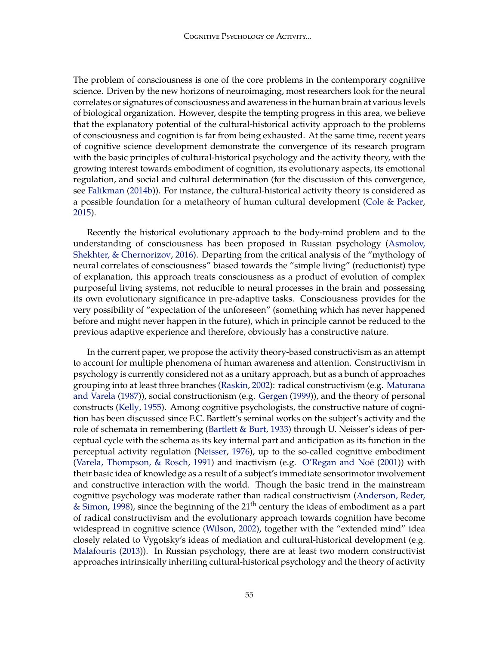The problem of consciousness is one of the core problems in the contemporary cognitive science. Driven by the new horizons of neuroimaging, most researchers look for the neural correlates or signatures of consciousness and awareness in the human brain at various levels of biological organization. However, despite the tempting progress in this area, we believe that the explanatory potential of the cultural-historical activity approach to the problems of consciousness and cognition is far from being exhausted. At the same time, recent years of cognitive science development demonstrate the convergence of its research program with the basic principles of cultural-historical psychology and the activity theory, with the growing interest towards embodiment of cognition, its evolutionary aspects, its emotional regulation, and social and cultural determination (for the discussion of this convergence, see [Falikman](#page-7-0) [\(2014b\)](#page-7-0)). For instance, the cultural-historical activity theory is considered as a possible foundation for a metatheory of human cultural development [\(Cole & Packer,](#page-6-0) [2015\)](#page-6-0).

Recently the historical evolutionary approach to the body-mind problem and to the understanding of consciousness has been proposed in Russian psychology [\(Asmolov,](#page-6-0) [Shekhter, & Chernorizov,](#page-6-0) [2016\)](#page-6-0). Departing from the critical analysis of the "mythology of neural correlates of consciousness" biased towards the "simple living" (reductionist) type of explanation, this approach treats consciousness as a product of evolution of complex purposeful living systems, not reducible to neural processes in the brain and possessing its own evolutionary significance in pre-adaptive tasks. Consciousness provides for the very possibility of "expectation of the unforeseen" (something which has never happened before and might never happen in the future), which in principle cannot be reduced to the previous adaptive experience and therefore, obviously has a constructive nature.

In the current paper, we propose the activity theory-based constructivism as an attempt to account for multiple phenomena of human awareness and attention. Constructivism in psychology is currently considered not as a unitary approach, but as a bunch of approaches grouping into at least three branches [\(Raskin,](#page-8-0) [2002\)](#page-8-0): radical constructivism (e.g. [Maturana](#page-7-0) [and Varela](#page-7-0) [\(1987\)](#page-7-0)), social constructionism (e.g. [Gergen](#page-7-0) [\(1999\)](#page-7-0)), and the theory of personal constructs [\(Kelly,](#page-7-0) [1955\)](#page-7-0). Among cognitive psychologists, the constructive nature of cognition has been discussed since F.C. Bartlett's seminal works on the subject's activity and the role of schemata in remembering [\(Bartlett & Burt,](#page-6-0) [1933\)](#page-6-0) through U. Neisser's ideas of perceptual cycle with the schema as its key internal part and anticipation as its function in the perceptual activity regulation [\(Neisser,](#page-7-0) [1976\)](#page-7-0), up to the so-called cognitive embodiment [\(Varela, Thompson, & Rosch,](#page-8-0) [1991\)](#page-8-0) and inactivism (e.g. [O'Regan and Noë](#page-7-0) [\(2001\)](#page-7-0)) with their basic idea of knowledge as a result of a subject's immediate sensorimotor involvement and constructive interaction with the world. Though the basic trend in the mainstream cognitive psychology was moderate rather than radical constructivism [\(Anderson, Reder,](#page-6-0) [& Simon,](#page-6-0) [1998\)](#page-6-0), since the beginning of the  $21<sup>th</sup>$  century the ideas of embodiment as a part of radical constructivism and the evolutionary approach towards cognition have become widespread in cognitive science [\(Wilson,](#page-8-0) [2002\)](#page-8-0), together with the "extended mind" idea closely related to Vygotsky's ideas of mediation and cultural-historical development (e.g. [Malafouris](#page-7-0) [\(2013\)](#page-7-0)). In Russian psychology, there are at least two modern constructivist approaches intrinsically inheriting cultural-historical psychology and the theory of activity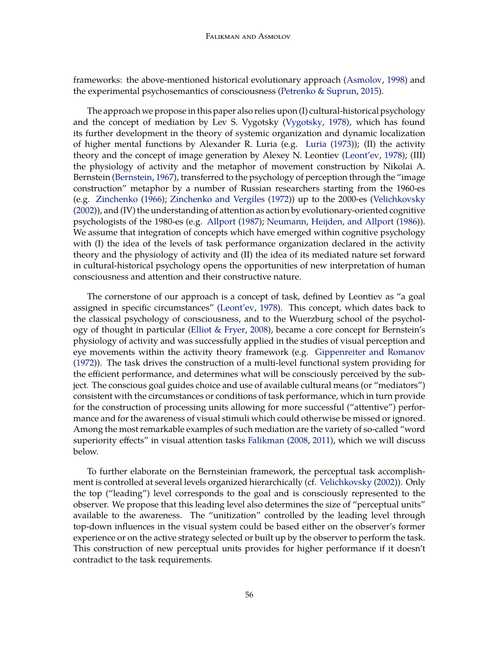frameworks: the above-mentioned historical evolutionary approach [\(Asmolov,](#page-6-0) [1998\)](#page-6-0) and the experimental psychosemantics of consciousness [\(Petrenko & Suprun,](#page-8-0) [2015\)](#page-8-0).

The approach we propose in this paper also relies upon (I) cultural-historical psychology and the concept of mediation by Lev S. Vygotsky [\(Vygotsky,](#page-8-0) [1978\)](#page-8-0), which has found its further development in the theory of systemic organization and dynamic localization of higher mental functions by Alexander R. Luria (e.g. [Luria](#page-7-0) [\(1973\)](#page-7-0)); (II) the activity theory and the concept of image generation by Alexey N. Leontiev [\(Leont'ev,](#page-7-0) [1978\)](#page-7-0); (III) the physiology of activity and the metaphor of movement construction by Nikolai A. Bernstein [\(Bernstein,](#page-6-0) [1967\)](#page-6-0), transferred to the psychology of perception through the "image construction" metaphor by a number of Russian researchers starting from the 1960-es (e.g. [Zinchenko](#page-8-0) [\(1966\)](#page-8-0); [Zinchenko and Vergiles](#page-8-0) [\(1972\)](#page-8-0)) up to the 2000-es [\(Velichkovsky](#page-8-0) [\(2002\)](#page-8-0)), and (IV) the understanding of attention as action by evolutionary-oriented cognitive psychologists of the 1980-es (e.g. [Allport](#page-6-0) [\(1987\)](#page-6-0); [Neumann, Heijden, and Allport](#page-7-0) [\(1986\)](#page-7-0)). We assume that integration of concepts which have emerged within cognitive psychology with (I) the idea of the levels of task performance organization declared in the activity theory and the physiology of activity and (II) the idea of its mediated nature set forward in cultural-historical psychology opens the opportunities of new interpretation of human consciousness and attention and their constructive nature.

The cornerstone of our approach is a concept of task, defined by Leontiev as "a goal assigned in specific circumstances" [\(Leont'ev,](#page-7-0) [1978\)](#page-7-0). This concept, which dates back to the classical psychology of consciousness, and to the Wuerzburg school of the psychology of thought in particular [\(Elliot & Fryer,](#page-6-0) [2008\)](#page-6-0), became a core concept for Bernstein's physiology of activity and was successfully applied in the studies of visual perception and eye movements within the activity theory framework (e.g. [Gippenreiter and Romanov](#page-7-0) [\(1972\)](#page-7-0)). The task drives the construction of a multi-level functional system providing for the efficient performance, and determines what will be consciously perceived by the subject. The conscious goal guides choice and use of available cultural means (or "mediators") consistent with the circumstances or conditions of task performance, which in turn provide for the construction of processing units allowing for more successful ("attentive") performance and for the awareness of visual stimuli which could otherwise be missed or ignored. Among the most remarkable examples of such mediation are the variety of so-called "word superiority effects" in visual attention tasks [Falikman](#page-7-0) [\(2008,](#page-7-0) [2011\)](#page-7-0), which we will discuss below.

To further elaborate on the Bernsteinian framework, the perceptual task accomplishment is controlled at several levels organized hierarchically (cf. [Velichkovsky](#page-8-0) [\(2002\)](#page-8-0)). Only the top ("leading") level corresponds to the goal and is consciously represented to the observer. We propose that this leading level also determines the size of "perceptual units" available to the awareness. The "unitization" controlled by the leading level through top-down influences in the visual system could be based either on the observer's former experience or on the active strategy selected or built up by the observer to perform the task. This construction of new perceptual units provides for higher performance if it doesn't contradict to the task requirements.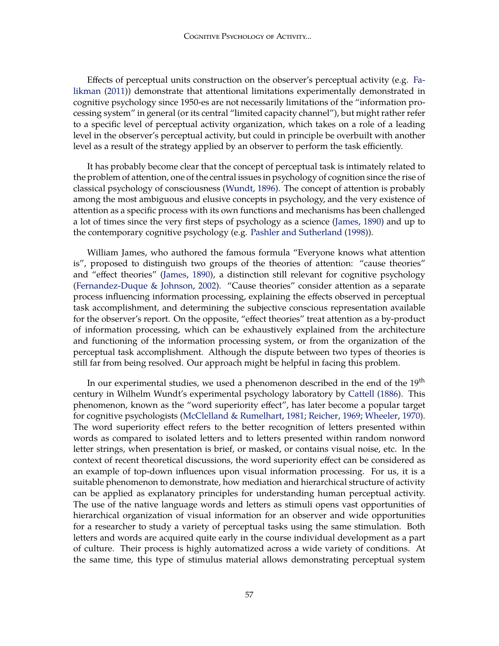Effects of perceptual units construction on the observer's perceptual activity (e.g. [Fa](#page-7-0)[likman](#page-7-0) [\(2011\)](#page-7-0)) demonstrate that attentional limitations experimentally demonstrated in cognitive psychology since 1950-es are not necessarily limitations of the "information processing system" in general (or its central "limited capacity channel"), but might rather refer to a specific level of perceptual activity organization, which takes on a role of a leading level in the observer's perceptual activity, but could in principle be overbuilt with another level as a result of the strategy applied by an observer to perform the task efficiently.

It has probably become clear that the concept of perceptual task is intimately related to the problem of attention, one of the central issues in psychology of cognition since the rise of classical psychology of consciousness [\(Wundt,](#page-8-0) [1896\)](#page-8-0). The concept of attention is probably among the most ambiguous and elusive concepts in psychology, and the very existence of attention as a specific process with its own functions and mechanisms has been challenged a lot of times since the very first steps of psychology as a science [\(James,](#page-7-0) [1890\)](#page-7-0) and up to the contemporary cognitive psychology (e.g. [Pashler and Sutherland](#page-8-0) [\(1998\)](#page-8-0)).

William James, who authored the famous formula "Everyone knows what attention is", proposed to distinguish two groups of the theories of attention: "cause theories" and "effect theories" [\(James,](#page-7-0) [1890\)](#page-7-0), a distinction still relevant for cognitive psychology [\(Fernandez-Duque & Johnson,](#page-7-0) [2002\)](#page-7-0). "Cause theories" consider attention as a separate process influencing information processing, explaining the effects observed in perceptual task accomplishment, and determining the subjective conscious representation available for the observer's report. On the opposite, "effect theories" treat attention as a by-product of information processing, which can be exhaustively explained from the architecture and functioning of the information processing system, or from the organization of the perceptual task accomplishment. Although the dispute between two types of theories is still far from being resolved. Our approach might be helpful in facing this problem.

In our experimental studies, we used a phenomenon described in the end of the 19<sup>th</sup> century in Wilhelm Wundt's experimental psychology laboratory by [Cattell](#page-6-0) [\(1886\)](#page-6-0). This phenomenon, known as the "word superiority effect", has later become a popular target for cognitive psychologists [\(McClelland & Rumelhart,](#page-7-0) [1981;](#page-7-0) [Reicher,](#page-8-0) [1969;](#page-8-0) [Wheeler,](#page-8-0) [1970\)](#page-8-0). The word superiority effect refers to the better recognition of letters presented within words as compared to isolated letters and to letters presented within random nonword letter strings, when presentation is brief, or masked, or contains visual noise, etc. In the context of recent theoretical discussions, the word superiority effect can be considered as an example of top-down influences upon visual information processing. For us, it is a suitable phenomenon to demonstrate, how mediation and hierarchical structure of activity can be applied as explanatory principles for understanding human perceptual activity. The use of the native language words and letters as stimuli opens vast opportunities of hierarchical organization of visual information for an observer and wide opportunities for a researcher to study a variety of perceptual tasks using the same stimulation. Both letters and words are acquired quite early in the course individual development as a part of culture. Their process is highly automatized across a wide variety of conditions. At the same time, this type of stimulus material allows demonstrating perceptual system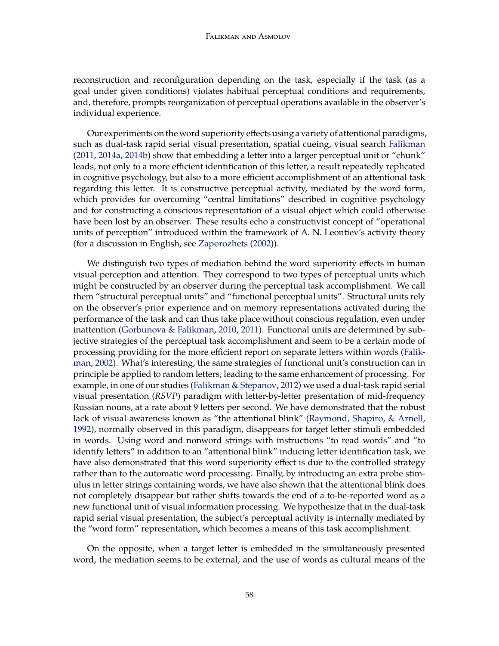reconstruction and reconfiguration depending on the task, especially if the task (as a goal under given conditions) violates habitual perceptual conditions and requirements, and, therefore, prompts reorganization of perceptual operations available in the observer's individual experience.

Our experiments on the word superiority effects using a variety of attentional paradigms, such as dual-task rapid serial visual presentation, spatial cueing, visual search [Falikman](#page-7-0) [\(2011,](#page-7-0) [2014a,](#page-7-0) [2014b\)](#page-7-0) show that embedding a letter into a larger perceptual unit or "chunk" leads, not only to a more efficient identification of this letter, a result repeatedly replicated in cognitive psychology, but also to a more efficient accomplishment of an attentional task regarding this letter. It is constructive perceptual activity, mediated by the word form, which provides for overcoming "central limitations" described in cognitive psychology and for constructing a conscious representation of a visual object which could otherwise have been lost by an observer. These results echo a constructivist concept of "operational units of perception" introduced within the framework of A. N. Leontiev's activity theory (for a discussion in English, see [Zaporozhets](#page-8-0) [\(2002\)](#page-8-0)).

We distinguish two types of mediation behind the word superiority effects in human visual perception and attention. They correspond to two types of perceptual units which might be constructed by an observer during the perceptual task accomplishment. We call them "structural perceptual units" and "functional perceptual units". Structural units rely on the observer's prior experience and on memory representations activated during the performance of the task and can thus take place without conscious regulation, even under inattention [\(Gorbunova & Falikman,](#page-7-0) [2010,](#page-7-0) [2011\)](#page-7-0). Functional units are determined by subjective strategies of the perceptual task accomplishment and seem to be a certain mode of processing providing for the more efficient report on separate letters within words [\(Falik](#page-7-0)[man,](#page-7-0) [2002\)](#page-7-0). What's interesting, the same strategies of functional unit's construction can in principle be applied to random letters, leading to the same enhancement of processing. For example, in one of our studies [\(Falikman & Stepanov,](#page-7-0) [2012\)](#page-7-0) we used a dual-task rapid serial visual presentation (*RSVP*) paradigm with letter-by-letter presentation of mid-frequency Russian nouns, at a rate about 9 letters per second. We have demonstrated that the robust lack of visual awareness known as "the attentional blink" [\(Raymond, Shapiro, & Arnell,](#page-8-0) [1992\)](#page-8-0), normally observed in this paradigm, disappears for target letter stimuli embedded in words. Using word and nonword strings with instructions "to read words" and "to identify letters" in addition to an "attentional blink" inducing letter identification task, we have also demonstrated that this word superiority effect is due to the controlled strategy rather than to the automatic word processing. Finally, by introducing an extra probe stimulus in letter strings containing words, we have also shown that the attentional blink does not completely disappear but rather shifts towards the end of a to-be-reported word as a new functional unit of visual information processing. We hypothesize that in the dual-task rapid serial visual presentation, the subject's perceptual activity is internally mediated by the "word form" representation, which becomes a means of this task accomplishment.

On the opposite, when a target letter is embedded in the simultaneously presented word, the mediation seems to be external, and the use of words as cultural means of the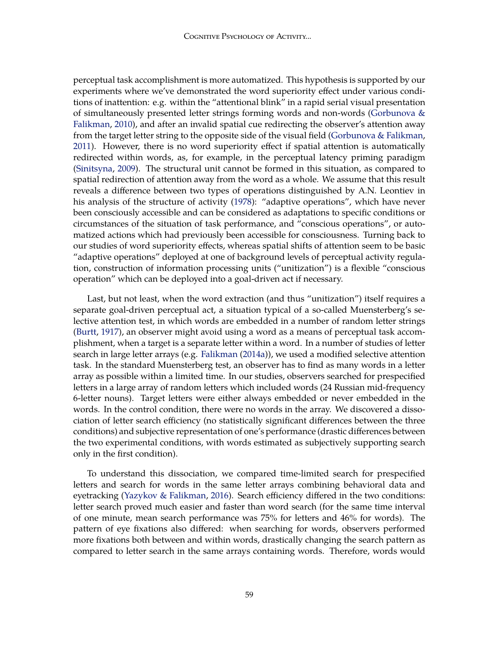perceptual task accomplishment is more automatized. This hypothesis is supported by our experiments where we've demonstrated the word superiority effect under various conditions of inattention: e.g. within the "attentional blink" in a rapid serial visual presentation of simultaneously presented letter strings forming words and non-words [\(Gorbunova &](#page-7-0) [Falikman,](#page-7-0) [2010\)](#page-7-0), and after an invalid spatial cue redirecting the observer's attention away from the target letter string to the opposite side of the visual field [\(Gorbunova & Falikman,](#page-7-0) [2011\)](#page-7-0). However, there is no word superiority effect if spatial attention is automatically redirected within words, as, for example, in the perceptual latency priming paradigm [\(Sinitsyna,](#page-8-0) [2009\)](#page-8-0). The structural unit cannot be formed in this situation, as compared to spatial redirection of attention away from the word as a whole. We assume that this result reveals a difference between two types of operations distinguished by A.N. Leontiev in his analysis of the structure of activity [\(1978\)](#page-7-0): "adaptive operations", which have never been consciously accessible and can be considered as adaptations to specific conditions or circumstances of the situation of task performance, and "conscious operations", or automatized actions which had previously been accessible for consciousness. Turning back to our studies of word superiority effects, whereas spatial shifts of attention seem to be basic "adaptive operations" deployed at one of background levels of perceptual activity regulation, construction of information processing units ("unitization") is a flexible "conscious operation" which can be deployed into a goal-driven act if necessary.

Last, but not least, when the word extraction (and thus "unitization") itself requires a separate goal-driven perceptual act, a situation typical of a so-called Muensterberg's selective attention test, in which words are embedded in a number of random letter strings [\(Burtt,](#page-6-0) [1917\)](#page-6-0), an observer might avoid using a word as a means of perceptual task accomplishment, when a target is a separate letter within a word. In a number of studies of letter search in large letter arrays (e.g. [Falikman](#page-7-0) [\(2014a\)](#page-7-0)), we used a modified selective attention task. In the standard Muensterberg test, an observer has to find as many words in a letter array as possible within a limited time. In our studies, observers searched for prespecified letters in a large array of random letters which included words (24 Russian mid-frequency 6-letter nouns). Target letters were either always embedded or never embedded in the words. In the control condition, there were no words in the array. We discovered a dissociation of letter search efficiency (no statistically significant differences between the three conditions) and subjective representation of one's performance (drastic differences between the two experimental conditions, with words estimated as subjectively supporting search only in the first condition).

To understand this dissociation, we compared time-limited search for prespecified letters and search for words in the same letter arrays combining behavioral data and eyetracking [\(Yazykov & Falikman,](#page-8-0) [2016\)](#page-8-0). Search efficiency differed in the two conditions: letter search proved much easier and faster than word search (for the same time interval of one minute, mean search performance was 75% for letters and 46% for words). The pattern of eye fixations also differed: when searching for words, observers performed more fixations both between and within words, drastically changing the search pattern as compared to letter search in the same arrays containing words. Therefore, words would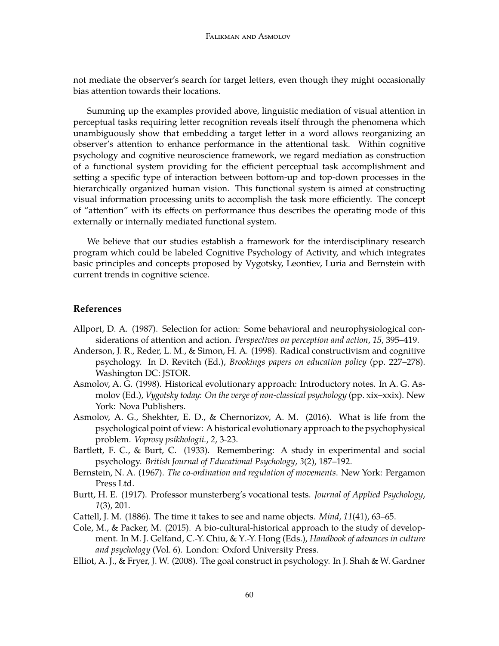<span id="page-6-0"></span>not mediate the observer's search for target letters, even though they might occasionally bias attention towards their locations.

Summing up the examples provided above, linguistic mediation of visual attention in perceptual tasks requiring letter recognition reveals itself through the phenomena which unambiguously show that embedding a target letter in a word allows reorganizing an observer's attention to enhance performance in the attentional task. Within cognitive psychology and cognitive neuroscience framework, we regard mediation as construction of a functional system providing for the efficient perceptual task accomplishment and setting a specific type of interaction between bottom-up and top-down processes in the hierarchically organized human vision. This functional system is aimed at constructing visual information processing units to accomplish the task more efficiently. The concept of "attention" with its effects on performance thus describes the operating mode of this externally or internally mediated functional system.

We believe that our studies establish a framework for the interdisciplinary research program which could be labeled Cognitive Psychology of Activity, and which integrates basic principles and concepts proposed by Vygotsky, Leontiev, Luria and Bernstein with current trends in cognitive science.

## **References**

- Allport, D. A. (1987). Selection for action: Some behavioral and neurophysiological considerations of attention and action. *Perspectives on perception and action*, *15*, 395–419.
- Anderson, J. R., Reder, L. M., & Simon, H. A. (1998). Radical constructivism and cognitive psychology. In D. Revitch (Ed.), *Brookings papers on education policy* (pp. 227–278). Washington DC: JSTOR.
- Asmolov, A. G. (1998). Historical evolutionary approach: Introductory notes. In A. G. Asmolov (Ed.), *Vygotsky today: On the verge of non-classical psychology* (pp. xix–xxix). New York: Nova Publishers.
- Asmolov, A. G., Shekhter, E. D., & Chernorizov, A. M. (2016). What is life from the psychological point of view: A historical evolutionary approach to the psychophysical problem. *Voprosy psikhologii.*, *2*, 3-23.
- Bartlett, F. C., & Burt, C. (1933). Remembering: A study in experimental and social psychology. *British Journal of Educational Psychology*, *3*(2), 187–192.
- Bernstein, N. A. (1967). *The co-ordination and regulation of movements*. New York: Pergamon Press Ltd.
- Burtt, H. E. (1917). Professor munsterberg's vocational tests. *Journal of Applied Psychology*, *1*(3), 201.
- Cattell, J. M. (1886). The time it takes to see and name objects. *Mind*, *11*(41), 63–65.
- Cole, M., & Packer, M. (2015). A bio-cultural-historical approach to the study of development. In M. J. Gelfand, C.-Y. Chiu, & Y.-Y. Hong (Eds.), *Handbook of advances in culture and psychology* (Vol. 6). London: Oxford University Press.
- Elliot, A. J., & Fryer, J. W. (2008). The goal construct in psychology. In J. Shah & W. Gardner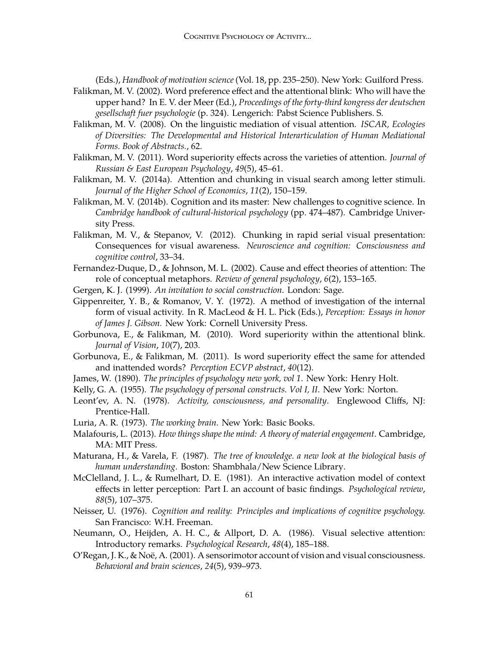<span id="page-7-0"></span>(Eds.), *Handbook of motivation science*(Vol. 18, pp. 235–250). New York: Guilford Press.

- Falikman, M. V. (2002). Word preference effect and the attentional blink: Who will have the upper hand? In E. V. der Meer (Ed.), *Proceedings of the forty-third kongress der deutschen gesellschaft fuer psychologie* (p. 324). Lengerich: Pabst Science Publishers. S.
- Falikman, M. V. (2008). On the linguistic mediation of visual attention. *ISCAR, Ecologies of Diversities: The Developmental and Historical Interarticulation of Human Mediational Forms. Book of Abstracts.*, 62.
- Falikman, M. V. (2011). Word superiority effects across the varieties of attention. *Journal of Russian & East European Psychology*, *49*(5), 45–61.
- Falikman, M. V. (2014a). Attention and chunking in visual search among letter stimuli. *Journal of the Higher School of Economics*, *11*(2), 150–159.
- Falikman, M. V. (2014b). Cognition and its master: New challenges to cognitive science. In *Cambridge handbook of cultural-historical psychology* (pp. 474–487). Cambridge University Press.
- Falikman, M. V., & Stepanov, V. (2012). Chunking in rapid serial visual presentation: Consequences for visual awareness. *Neuroscience and cognition: Consciousness and cognitive control*, 33–34.
- Fernandez-Duque, D., & Johnson, M. L. (2002). Cause and effect theories of attention: The role of conceptual metaphors. *Review of general psychology*, *6*(2), 153–165.
- Gergen, K. J. (1999). *An invitation to social construction*. London: Sage.
- Gippenreiter, Y. B., & Romanov, V. Y. (1972). A method of investigation of the internal form of visual activity. In R. MacLeod & H. L. Pick (Eds.), *Perception: Essays in honor of James J. Gibson.* New York: Cornell University Press.
- Gorbunova, E., & Falikman, M. (2010). Word superiority within the attentional blink. *Journal of Vision*, *10*(7), 203.
- Gorbunova, E., & Falikman, M. (2011). Is word superiority effect the same for attended and inattended words? *Perception ECVP abstract*, *40*(12).
- James, W. (1890). *The principles of psychology new york, vol 1*. New York: Henry Holt.
- Kelly, G. A. (1955). *The psychology of personal constructs. Vol I, II*. New York: Norton.
- Leont'ev, A. N. (1978). *Activity, consciousness, and personality*. Englewood Cliffs, NJ: Prentice-Hall.
- Luria, A. R. (1973). *The working brain*. New York: Basic Books.
- Malafouris, L. (2013). *How things shape the mind: A theory of material engagement*. Cambridge, MA: MIT Press.
- Maturana, H., & Varela, F. (1987). *The tree of knowledge. a new look at the biological basis of human understanding*. Boston: Shambhala/New Science Library.
- McClelland, J. L., & Rumelhart, D. E. (1981). An interactive activation model of context effects in letter perception: Part I. an account of basic findings. *Psychological review*, *88*(5), 107–375.
- Neisser, U. (1976). *Cognition and reality: Principles and implications of cognitive psychology.* San Francisco: W.H. Freeman.
- Neumann, O., Heijden, A. H. C., & Allport, D. A. (1986). Visual selective attention: Introductory remarks. *Psychological Research*, *48*(4), 185–188.
- O'Regan, J. K., & Noë, A. (2001). A sensorimotor account of vision and visual consciousness. *Behavioral and brain sciences*, *24*(5), 939–973.